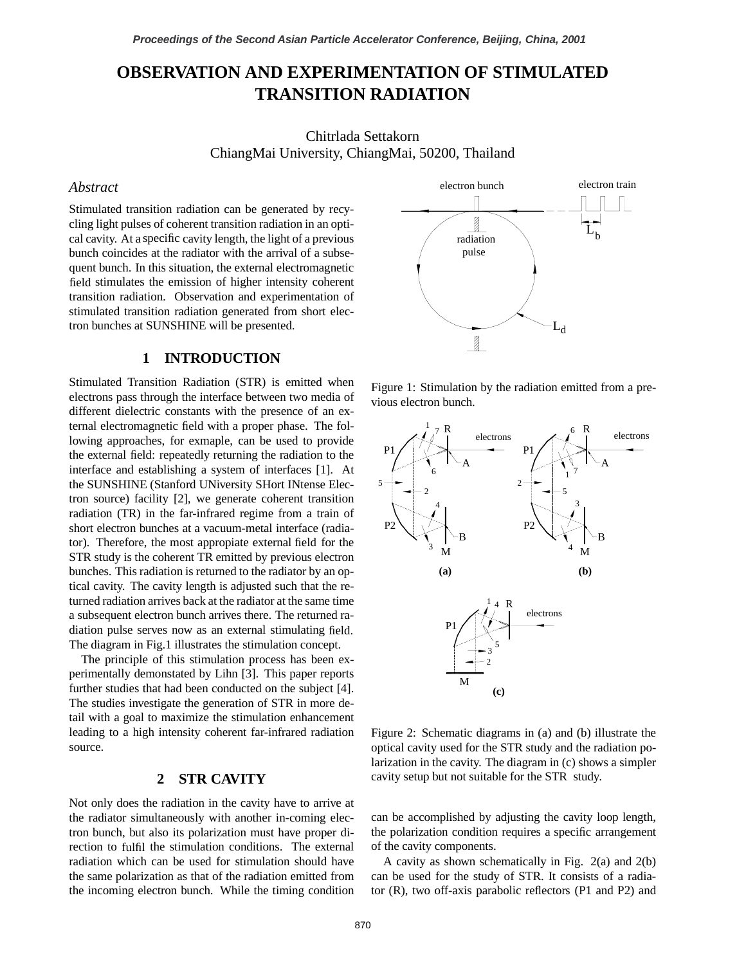# **OBSERVATION AND EXPERIMENTATION OF STIMULATED TRANSITION RADIATION**

Chitrlada Settakorn ChiangMai University, ChiangMai, 50200, Thailand

## *Abstract*

Stimulated transition radiation can be generated by recycling light pulses of coherent transition radiation in an optical cavity. At a specific cavity length, the light of a previous bunch coincides at the radiator with the arrival of a subsequent bunch. In this situation, the external electromagnetic field stimulates the emission of higher intensity coherent transition radiation. Observation and experimentation of stimulated transition radiation generated from short electron bunches at SUNSHINE will be presented.

## **1 INTRODUCTION**

Stimulated Transition Radiation (STR) is emitted when electrons pass through the interface between two media of different dielectric constants with the presence of an external electromagnetic field with a proper phase. The following approaches, for exmaple, can be used to provide the external field: repeatedly returning the radiation to the interface and establishing a system of interfaces [1]. At the SUNSHINE (Stanford UNiversity SHort INtense Electron source) facility [2], we generate coherent transition radiation (TR) in the far-infrared regime from a train of short electron bunches at a vacuum-metal interface (radiator). Therefore, the most appropiate external field for the STR study is the coherent TR emitted by previous electron bunches. This radiation is returned to the radiator by an optical cavity. The cavity length is adjusted such that the returned radiation arrives back at the radiator at the same time a subsequent electron bunch arrives there. The returned radiation pulse serves now as an external stimulating field. The diagram in Fig.1 illustrates the stimulation concept.

The principle of this stimulation process has been experimentally demonstated by Lihn [3]. This paper reports further studies that had been conducted on the subject [4]. The studies investigate the generation of STR in more detail with a goal to maximize the stimulation enhancement leading to a high intensity coherent far-infrared radiation source.

### **2 STR CAVITY**

Not only does the radiation in the cavity have to arrive at the radiator simultaneously with another in-coming electron bunch, but also its polarization must have proper direction to fulfil the stimulation conditions. The external radiation which can be used for stimulation should have the same polarization as that of the radiation emitted from the incoming electron bunch. While the timing condition



Figure 1: Stimulation by the radiation emitted from a previous electron bunch.



Figure 2: Schematic diagrams in (a) and (b) illustrate the optical cavity used for the STR study and the radiation polarization in the cavity. The diagram in (c) shows a simpler cavity setup but not suitable for the STR study.

the polarization condition requires a specific arrangement of the cavity components. can be accomplished by adjusting the cavity loop length,

A cavity as shown schematically in Fig. 2(a) and 2(b) can be used for the study of STR. It consists of a radiator  $(R)$ , two off-axis parabolic reflectors  $(P1 \text{ and } P2)$  and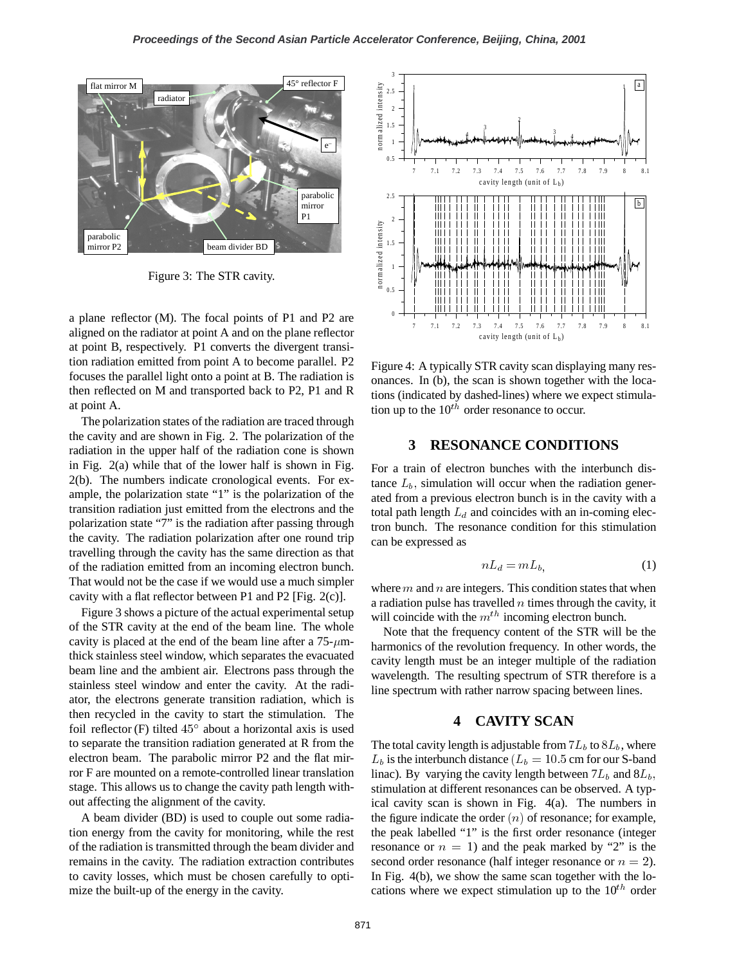

Figure 3: The STR cavity.

a plane reflector (M). The focal points of P1 and P2 are aligned on the radiator at point A and on the plane reflector at point B, respectively. P1 converts the divergent transition radiation emitted from point A to become parallel. P2 focuses the parallel light onto a point at B. The radiation is then reflected on M and transported back to P2, P1 and R at point A.

The polarization states of the radiation are traced through the cavity and are shown in Fig. 2. The polarization of the radiation in the upper half of the radiation cone is shown in Fig. 2(a) while that of the lower half is shown in Fig. 2(b). The numbers indicate cronological events. For example, the polarization state "1" is the polarization of the transition radiation just emitted from the electrons and the polarization state "7" is the radiation after passing through the cavity. The radiation polarization after one round trip travelling through the cavity has the same direction as that of the radiation emitted from an incoming electron bunch. That would not be the case if we would use a much simpler cavity with a flat reflector between P1 and P2 [Fig.  $2(c)$ ].

Figure 3 shows a picture of the actual experimental setup of the STR cavity at the end of the beam line. The whole cavity is placed at the end of the beam line after a  $75-\mu m$ thick stainless steel window, which separates the evacuated beam line and the ambient air. Electrons pass through the stainless steel window and enter the cavity. At the radiator, the electrons generate transition radiation, which is then recycled in the cavity to start the stimulation. The foil reflector (F) tilted  $45^\circ$  about a horizontal axis is used to separate the transition radiation generated at R from the electron beam. The parabolic mirror P2 and the flat mirror F are mounted on a remote-controlled linear translation stage. This allows us to change the cavity path length without affecting the alignment of the cavity.

A beam divider (BD) is used to couple out some radiation energy from the cavity for monitoring, while the rest of the radiation is transmitted through the beam divider and remains in the cavity. The radiation extraction contributes to cavity losses, which must be chosen carefully to optimize the built-up of the energy in the cavity.



Figure 4: A typically STR cavity scan displaying many resonances. In (b), the scan is shown together with the locations (indicated by dashed-lines) where we expect stimulation up to the  $10^{th}$  order resonance to occur.

#### **3 RESONANCE CONDITIONS**

For a train of electron bunches with the interbunch distance  $L<sub>b</sub>$ , simulation will occur when the radiation generated from a previous electron bunch is in the cavity with a total path length  $L_d$  and coincides with an in-coming electron bunch. The resonance condition for this stimulation can be expressed as

$$
nL_d = mL_{b,}
$$
 (1)

where  $m$  and  $n$  are integers. This condition states that when a radiation pulse has travelled  $n$  times through the cavity, it will coincide with the  $m^{th}$  incoming electron bunch.

Note that the frequency content of the STR will be the harmonics of the revolution frequency. In other words, the cavity length must be an integer multiple of the radiation wavelength. The resulting spectrum of STR therefore is a line spectrum with rather narrow spacing between lines.

### **4 CAVITY SCAN**

The total cavity length is adjustable from  $7L<sub>b</sub>$  to  $8L<sub>b</sub>$ , where  $L_b$  is the interbunch distance ( $L_b = 10.5$  cm for our S-band linac). By varying the cavity length between  $7L<sub>b</sub>$  and  $8L<sub>b</sub>$ . stimulation at different resonances can be observed. A typical cavity scan is shown in Fig. 4(a). The numbers in the figure indicate the order  $(n)$  of resonance; for example, the peak labelled "1" is the first order resonance (integer resonance or  $n = 1$ ) and the peak marked by "2" is the second order resonance (half integer resonance or  $n = 2$ ). In Fig. 4(b), we show the same scan together with the locations where we expect stimulation up to the  $10^{th}$  order